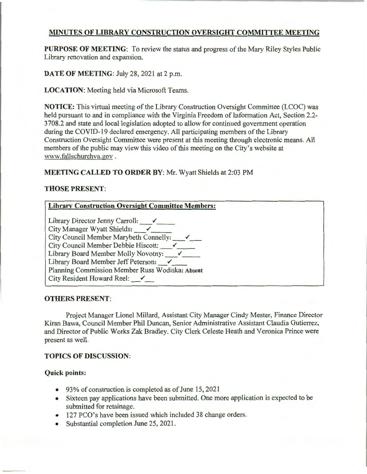## **MINUTES OF LIBRARY CONSTRUCTION OVERSIGHT COMMITTEE MEETING**

**PURPOSE OF MEETING:** To review the status and progress of the Mary Riley Styles Public Library renovation and expansion.

**DATE OF MEETING: July 28, 2021 at 2 p.m.** 

**LOCATION:** Meeting held via Microsoft Teams.

**NOTICE:** This virtual meeting of the Library Construction Oversight Committee (LCOC) was held pursuant to and in compliance with the Virginia Freedom of Information Act, Section 2.2- 3708.2 and state and local legislation adopted to allow for continued government operation during the COVID-19 declared emergency. All participating members of the Library Construction Oversight Committee were present at this meeting through electronic means. All members of the public may view this video of this meeting on the City's website at www.fallschurchva.gov .

## **MEETING CALLED TO ORDER BY: Mr. Wyatt Shields at 2:03 PM**

## **THOSE PRESENT:**

| <b>Library Construction Oversight Committee Members:</b> |
|----------------------------------------------------------|
| Library Director Jenny Carroll: $\checkmark$             |
| City Manager Wyatt Shields: $\checkmark$                 |
| City Council Member Marybeth Connelly:                   |
| City Council Member Debbie Hiscott: V                    |
| Library Board Member Molly Novotny:                      |
| Library Board Member Jeff Peterson: V                    |
| Planning Commission Member Russ Wodiska: Absent          |
| City Resident Howard Reel: $\checkmark$                  |

## **OTHERS PRESENT:**

Project Manager Lionel Millard, Assistant City Manager Cindy Mester, Finance Director Kiran Bawa, Council Member Phil Duncan, Senior Administrative Assistant Claudia Gutierrez, and Director of Public Works Zak Bradley. City Clerk Celeste Heath and Veronica Prince were present as well.

## **TOPICS OF DISCUSSION:**

## **Quick points:**

- 93% of construction is completed as of June 15, 2021
- Sixteen pay applications have been submitted. One more application is expected to be submitted for retainage.
- 127 PCO's have been issued which included 38 change orders.
- Substantial completion June 25, 2021.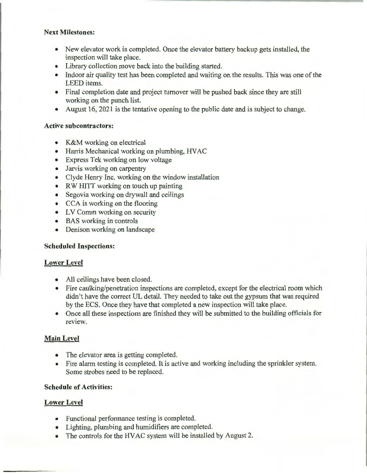## **Next Milestones:**

- New elevator work is completed. Once the elevator battery backup gets installed, the inspection will take place.
- Library collection move back into the building started.
- Indoor air quality test has been completed and waiting on the results. This was one of the LEED items.
- Final completion date and project turnover will be pushed back since they are still working on the punch list.
- August 16, 2021 is the tentative opening to the public date and is subject to change.

## **Active subcontractors:**

- K&M working on electrical
- Harris Mechanical working on plumbing, HVAC
- Express Tek working on low voltage
- Jarvis working on carpentry
- Clyde Henry Inc. working on the window installation
- RW HITT working on touch up painting
- Segovia working on drywall and ceilings
- CCA is working on the flooring
- LV Comm working on security
- BAS working in controls
- Denison working on landscape

## **Scheduled Inspections:**

## **Lower Level**

- All ceilings have been closed.
- Fire caulking/penetration inspections are completed, except for the electrical room which didn't have the correct UL detail. They needed to take out the gypsum that was required by the ECS. Once they have that completed a new inspection will take place.
- Once all these inspections are finished they will be submitted to the building officials for review

# **Main Level**

- The elevator area is getting completed.
- Fire alarm testing is completed. It is active and working including the sprinkler system. Some strobes need to be replaced.

## **Schedule of Activities:**

# **Lower Level**

- Functional performance testing is completed.
- Lighting, plumbing and humidifiers are completed.
- The controls for the HVAC system will be installed by August 2.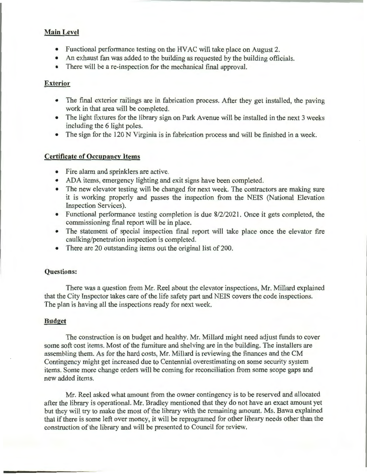### **Main Level**

- Functional performance testing on the HVAC will take place on August 2.
- An exhaust fan was added to the building as requested by the building officials.
- There will be a re-inspection for the mechanical final approval.

## **Exterior**

- The final exterior railings are in fabrication process. After they get installed, the paving work in that area will be completed.
- The light fixtures for the library sign on Park Avenue will be installed in the next 3 weeks including the 6 light poles.
- The sign for the 120 N Virginia is in fabrication process and will be finished in a week.

## **Certificate of Occupancy Items**

- Fire alarm and sprinklers are active.
- ADA items, emergency lighting and exit signs have been completed.
- The new elevator testing will be changed for next week. The contractors are making sure it is working properly and passes the inspection from the NElS (National Elevation Inspection Services).
- Functional performance testing completion is due 8/2/2021. Once it gets completed, the commissioning final report will be in place.
- The statement of special inspection final report will take place once the elevator fire caulking/penetration inspection is completed.
- There are 20 outstanding items out the original list of 200.

#### **Questions:**

There was a question from Mr. Reel about the elevator inspections, Mr. Millard explained that the City Inspector takes care of the life safety part and NElS covers the code inspections. The plan is having all the inspections ready for next week.

#### **Budget**

The construction is on budget and healthy. Mr. Millard might need adjust funds to cover some soft cost items. Most of the furniture and shelving are in the building. The installers are assembling them. As for the hard costs, Mr. Millard is reviewing the finances and the CM Contingency might get increased due to Centennial overestimating on some security system items. Some more change orders will be coming for reconciliation from some scope gaps and new added items.

Mr. Reel asked what amount from the owner contingency is to be reserved and allocated after the library is operational. Mr. Bradley mentioned that they do not have an exact amount yet but they will try to make the most of the library with the remaining amount. Ms. Bawa explained that if there is some left over money, it will be reprogramed for other library needs other than the construction of the library and will be presented to Council for review.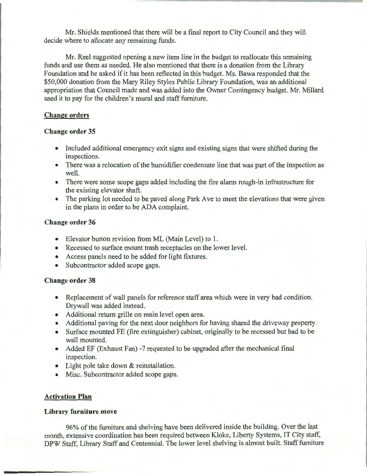Mr. Shields mentioned that there will be a final report to City Council and they will decide where to allocate any remaining funds.

Mr. Reel suggested opening a new item line in the budget to reallocate this remaining funds and use them as needed. He also mentioned that there is a donation from the Library Foundation and he asked if it has been reflected in this budget. Ms. Bawa responded that the \$50,000 donation from the Mary Riley Styles Public Library Foundation, was an additional appropriation that Council made and was added into the Owner Contingency budget. Mr. Millard used it to pay for the children's mural and staff furniture.

## **Change orders**

## **Change order 35**

- Included additional emergency exit signs and existing signs that were shifted during the inspections.
- There was a relocation of the humidifier condensate line that was part of the inspection as well.
- There were some scope gaps added including the fire alarm rough-in infrastructure for the existing elevator shaft.
- The parking lot needed to be paved along Park Ave to meet the elevations that were given in the plans in order to be ADA complaint.

## **Change order 36**

- Elevator button revision from ML (Main Level) to **1.**
- Recessed to surface mount trash receptacles on the lower level.
- Access panels need to be added for light fixtures.
- Subcontractor added scope gaps.

## **Change order 38**

- Replacement of wall panels for reference staff area which were in very bad condition. Drywall was added instead.
- Additional return grille on main level open area.
- Additional paving for the next door neighbors for having shared the driveway property.
- Surface mounted FE (fire extinguisher) cabinet, originally to be recessed but had to be wall mounted.
- Added EF (Exhaust Fan) -7 requested to be upgraded after the mechanical final inspection.
- Light pole take down & reinstallation.
- Misc. Subcontractor added scope gaps.

## **Activation Plan**

## **Library furniture move**

96% of the furniture and shelving have been delivered inside the building. Over the last month, extensive coordination has been required between Kloke, Liberty Systems, IT City staff, DPW Staff, Library Staff and Centennial. The lower level shelving is almost built. Staff furniture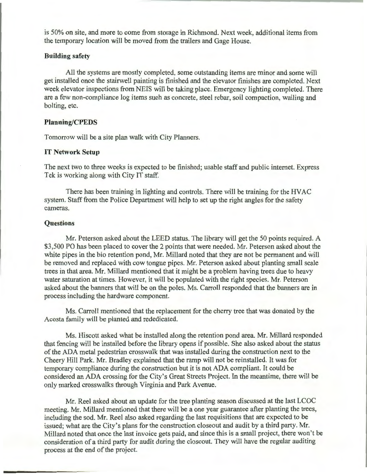is 50% on site, and more to come from storage in Richmond. Next week, additional items from the temporary location will be moved from the trailers and Gage House.

#### Building safety

All the systems are mostly completed, some outstanding items are minor and some will get installed once the stairwell painting is finished and the elevator finishes are completed. Next week elevator inspections from NElS will be taking place. Emergency lighting completed. There are a few non-compliance log items such as concrete, steel rebar, soil compaction, wailing and bolting, etc.

#### Planning/CPEDS

Tomorrow will be a site plan walk with City Planners.

#### IT Network Setup

The next two to three weeks is expected to be finished; usable staff and public internet. Express Tek is working along with City IT staff.

There has been training in lighting and controls. There will be training for the HVAC system. Staff from the Police Department will help to set up the right angles for the safety cameras.

#### **Ouestions**

Mr. Peterson asked about the LEED status. The library will get the 50 points required. A \$3,500 PO has been placed to cover the 2 points that were needed. Mr. Peterson asked about the white pipes in the bio retention pond, Mr. Millard noted that they are not be permanent and will be removed and replaced with cow tongue pipes. Mr. Peterson asked about planting small scale trees in that area. Mr. Millard mentioned that it might be a problem having trees due to heavy water saturation at times. However, it will be populated with the right species. Mr. Peterson asked about the banners that will be on the poles. Ms. Carroll responded that the banners are in process including the hardware component.

Ms. Carroll mentioned that the replacement for the cherry tree that was donated by the Acosta family will be planted and rededicated.

Ms. Hiscott asked what be installed along the retention pond area. Mr. Millard responded that fencing will be installed before the library opens if possible. She also asked about the status of the ADA metal pedestrian crosswalk that was installed during the construction next to the Cheery Hill Park. Mr. Bradley explained that the ramp will not be reinstalled. It was for temporary compliance during the construction but it is not ADA compliant. It could be considered an ADA crossing for the City's Great Streets Project. In the meantime, there will be only marked crosswalks through Virginia and Park Avenue.

Mr. Reel asked about an update for the tree planting season discussed at the last LCOC meeting. Mr. Millard mentioned that there will be a one year guarantee after planting the trees, including the sod. Mr. Reel also asked regarding the last requisitions that are expected to be issued; what are the City's plans for the construction closeout and audit by a third party. Mr. Millard noted that once the last invoice gets paid, and since this is a small project, there won't be consideration of a third party for audit during the closeout. They will have the regular auditing process at the end of the project.